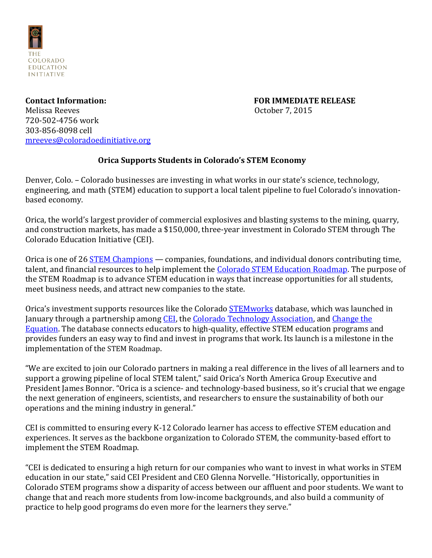

**Contact Information: FOR IMMEDIATE RELEASE**

Melissa Reeves October 7, 2015 720-502-4756 work 303-856-8098 cell [mreeves@coloradoedinitiative.org](mailto:mreeves@coloradoedinitiative.org)

## **Orica Supports Students in Colorado's STEM Economy**

Denver, Colo. – Colorado businesses are investing in what works in our state's science, technology, engineering, and math (STEM) education to support a local talent pipeline to fuel Colorado's innovationbased economy.

Orica, the world's largest provider of commercial explosives and blasting systems to the mining, quarry, and construction markets, has made a \$150,000, three-year investment in Colorado STEM through The Colorado Education Initiative (CEI).

Orica is one of 26 [STEM Champions](http://www.coloradoedinitiative.org/our-work/stem/additional-stem-information/colorado-stem-champions/) — companies, foundations, and individual donors contributing time, talent, and financial resources to help implement the [Colorado STEM Education Roadmap.](http://www.coloradoedinitiative.org/resources/colorado-stem-education-roadmap-2/) The purpose of the STEM Roadmap is to advance STEM education in ways that increase opportunities for all students, meet business needs, and attract new companies to the state.

Orica's investment supports resources like the Colorado **STEMworks** database, which was launched in January through a partnership amon[g CEI,](http://www.coloradoedinitiative.org/) the [Colorado Technology Association,](http://www.coloradotechnology.org/) and Change the [Equation.](http://www.changetheequation.org/) The database connects educators to high-quality, effective STEM education programs and provides funders an easy way to find and invest in programs that work. Its launch is a milestone in the implementation of the STEM Roadmap.

"We are excited to join our Colorado partners in making a real difference in the lives of all learners and to support a growing pipeline of local STEM talent," said Orica's North America Group Executive and President James Bonnor. "Orica is a science- and technology-based business, so it's crucial that we engage the next generation of engineers, scientists, and researchers to ensure the sustainability of both our operations and the mining industry in general."

CEI is committed to ensuring every K-12 Colorado learner has access to effective STEM education and experiences. It serves as the backbone organization to Colorado STEM, the community-based effort to implement the STEM Roadmap.

"CEI is dedicated to ensuring a high return for our companies who want to invest in what works in STEM education in our state," said CEI President and CEO Glenna Norvelle. "Historically, opportunities in Colorado STEM programs show a disparity of access between our affluent and poor students. We want to change that and reach more students from low-income backgrounds, and also build a community of practice to help good programs do even more for the learners they serve."